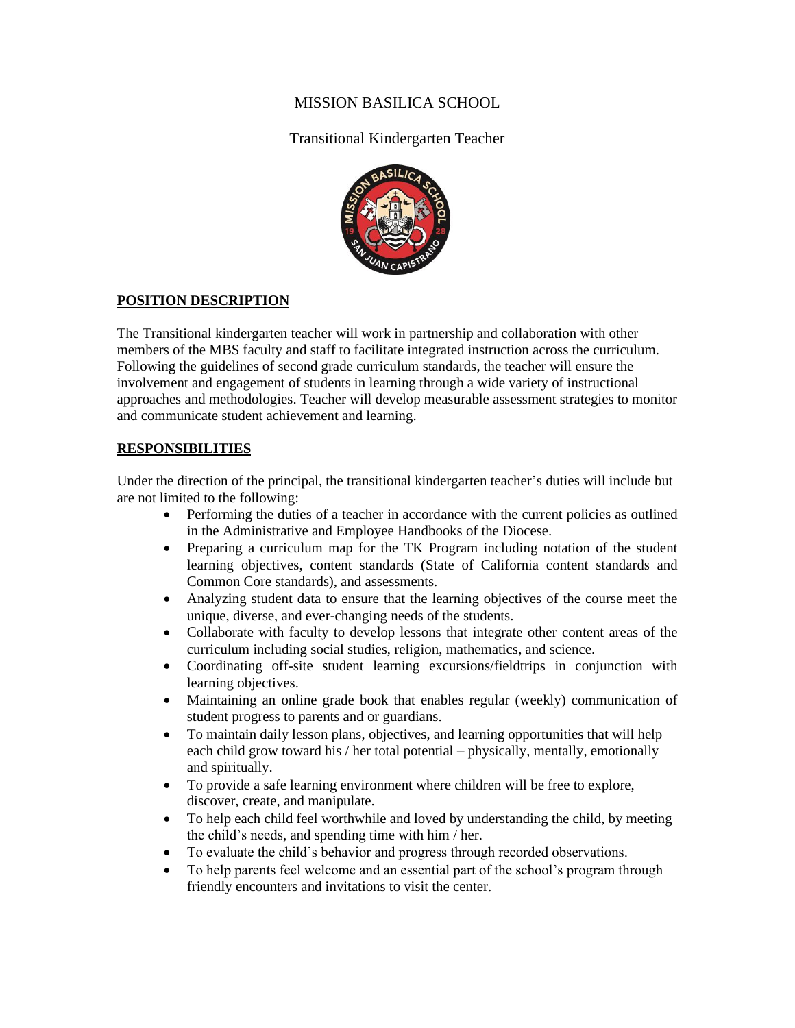## MISSION BASILICA SCHOOL

## Transitional Kindergarten Teacher



#### **POSITION DESCRIPTION**

The Transitional kindergarten teacher will work in partnership and collaboration with other members of the MBS faculty and staff to facilitate integrated instruction across the curriculum. Following the guidelines of second grade curriculum standards, the teacher will ensure the involvement and engagement of students in learning through a wide variety of instructional approaches and methodologies. Teacher will develop measurable assessment strategies to monitor and communicate student achievement and learning.

#### **RESPONSIBILITIES**

Under the direction of the principal, the transitional kindergarten teacher's duties will include but are not limited to the following:

- Performing the duties of a teacher in accordance with the current policies as outlined in the Administrative and Employee Handbooks of the Diocese.
- Preparing a curriculum map for the TK Program including notation of the student learning objectives, content standards (State of California content standards and Common Core standards), and assessments.
- Analyzing student data to ensure that the learning objectives of the course meet the unique, diverse, and ever-changing needs of the students.
- Collaborate with faculty to develop lessons that integrate other content areas of the curriculum including social studies, religion, mathematics, and science.
- Coordinating off-site student learning excursions/fieldtrips in conjunction with learning objectives.
- Maintaining an online grade book that enables regular (weekly) communication of student progress to parents and or guardians.
- To maintain daily lesson plans, objectives, and learning opportunities that will help each child grow toward his / her total potential – physically, mentally, emotionally and spiritually.
- To provide a safe learning environment where children will be free to explore, discover, create, and manipulate.
- To help each child feel worthwhile and loved by understanding the child, by meeting the child's needs, and spending time with him / her.
- To evaluate the child's behavior and progress through recorded observations.
- To help parents feel welcome and an essential part of the school's program through friendly encounters and invitations to visit the center.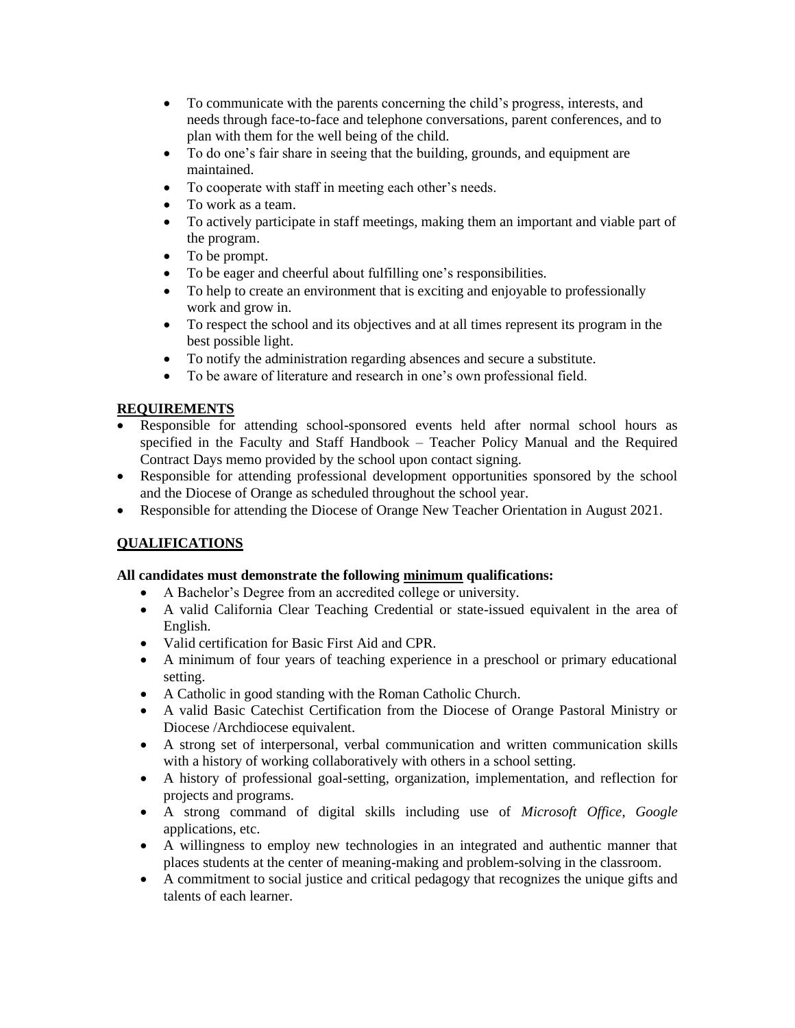- To communicate with the parents concerning the child's progress, interests, and needs through face-to-face and telephone conversations, parent conferences, and to plan with them for the well being of the child.
- To do one's fair share in seeing that the building, grounds, and equipment are maintained.
- To cooperate with staff in meeting each other's needs.
- To work as a team.
- To actively participate in staff meetings, making them an important and viable part of the program.
- To be prompt.
- To be eager and cheerful about fulfilling one's responsibilities.
- To help to create an environment that is exciting and enjoyable to professionally work and grow in.
- To respect the school and its objectives and at all times represent its program in the best possible light.
- To notify the administration regarding absences and secure a substitute.
- To be aware of literature and research in one's own professional field.

## **REQUIREMENTS**

- Responsible for attending school-sponsored events held after normal school hours as specified in the Faculty and Staff Handbook – Teacher Policy Manual and the Required Contract Days memo provided by the school upon contact signing.
- Responsible for attending professional development opportunities sponsored by the school and the Diocese of Orange as scheduled throughout the school year.
- Responsible for attending the Diocese of Orange New Teacher Orientation in August 2021.

# **QUALIFICATIONS**

### **All candidates must demonstrate the following minimum qualifications:**

- A Bachelor's Degree from an accredited college or university.
- A valid California Clear Teaching Credential or state-issued equivalent in the area of English.
- Valid certification for Basic First Aid and CPR.
- A minimum of four years of teaching experience in a preschool or primary educational setting.
- A Catholic in good standing with the Roman Catholic Church.
- A valid Basic Catechist Certification from the Diocese of Orange Pastoral Ministry or Diocese /Archdiocese equivalent.
- A strong set of interpersonal, verbal communication and written communication skills with a history of working collaboratively with others in a school setting.
- A history of professional goal-setting, organization, implementation, and reflection for projects and programs.
- A strong command of digital skills including use of *Microsoft Office*, *Google*  applications, etc.
- A willingness to employ new technologies in an integrated and authentic manner that places students at the center of meaning-making and problem-solving in the classroom.
- A commitment to social justice and critical pedagogy that recognizes the unique gifts and talents of each learner.